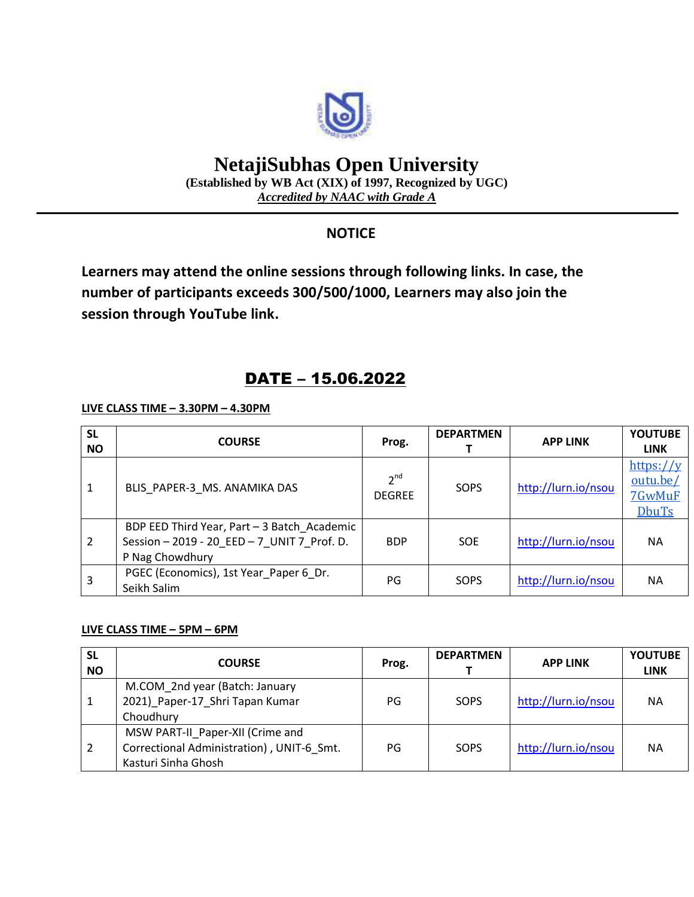

# **NetajiSubhas Open University**

**(Established by WB Act (XIX) of 1997, Recognized by UGC)** *Accredited by NAAC with Grade A*

### **NOTICE**

**Learners may attend the online sessions through following links. In case, the number of participants exceeds 300/500/1000, Learners may also join the session through YouTube link.**

## DATE – 15.06.2022

**LIVE CLASS TIME – 3.30PM – 4.30PM**

| <b>SL</b><br><b>NO</b> | <b>COURSE</b>                                                                                                 | Prog.                            | <b>DEPARTMEN</b> | <b>APP LINK</b>     | <b>YOUTUBE</b><br><b>LINK</b>                      |
|------------------------|---------------------------------------------------------------------------------------------------------------|----------------------------------|------------------|---------------------|----------------------------------------------------|
| 1                      | BLIS PAPER-3 MS. ANAMIKA DAS                                                                                  | 2 <sup>nd</sup><br><b>DEGREE</b> | SOPS             | http://lurn.io/nsou | https:// $y$<br>outu.be/<br>7GwMuF<br><b>DbuTs</b> |
| $\overline{2}$         | BDP EED Third Year, Part - 3 Batch Academic<br>Session - 2019 - 20 EED - 7 UNIT 7 Prof. D.<br>P Nag Chowdhury | <b>BDP</b>                       | <b>SOE</b>       | http://lurn.io/nsou | <b>NA</b>                                          |
| 3                      | PGEC (Economics), 1st Year Paper 6 Dr.<br>Seikh Salim                                                         | PG                               | SOPS             | http://lurn.io/nsou | <b>NA</b>                                          |

#### **LIVE CLASS TIME – 5PM – 6PM**

| <b>SL</b><br><b>NO</b> | <b>COURSE</b>                                                                                        | Prog. | <b>DEPARTMEN</b> | <b>APP LINK</b>     | <b>YOUTUBE</b><br><b>LINK</b> |
|------------------------|------------------------------------------------------------------------------------------------------|-------|------------------|---------------------|-------------------------------|
|                        | M.COM 2nd year (Batch: January<br>2021) Paper-17 Shri Tapan Kumar<br>Choudhury                       | PG    | SOPS             | http://lurn.io/nsou | <b>NA</b>                     |
|                        | MSW PART-II Paper-XII (Crime and<br>Correctional Administration), UNIT-6 Smt.<br>Kasturi Sinha Ghosh | PG    | SOPS             | http://lurn.io/nsou | <b>NA</b>                     |